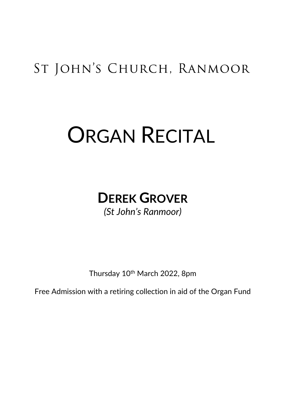## ST JOHN'S CHURCH, RANMOOR

# ORGAN RECITAL

## **DEREK GROVER** *(St John's Ranmoor)*

Thursday 10<sup>th</sup> March 2022, 8pm

Free Admission with a retiring collection in aid of the Organ Fund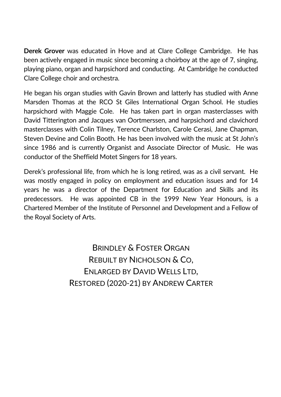**Derek Grover** was educated in Hove and at Clare College Cambridge. He has been actively engaged in music since becoming a choirboy at the age of 7, singing, playing piano, organ and harpsichord and conducting. At Cambridge he conducted Clare College choir and orchestra.

He began his organ studies with Gavin Brown and latterly has studied with Anne Marsden Thomas at the RCO St Giles International Organ School. He studies harpsichord with Maggie Cole. He has taken part in organ masterclasses with David Titterington and Jacques van Oortmerssen, and harpsichord and clavichord masterclasses with Colin Tilney, Terence Charlston, Carole Cerasi, Jane Chapman, Steven Devine and Colin Booth. He has been involved with the music at St John's since 1986 and is currently Organist and Associate Director of Music. He was conductor of the Sheffield Motet Singers for 18 years.

Derek's professional life, from which he is long retired, was as a civil servant. He was mostly engaged in policy on employment and education issues and for 14 years he was a director of the Department for Education and Skills and its predecessors. He was appointed CB in the 1999 New Year Honours, is a Chartered Member of the Institute of Personnel and Development and a Fellow of the Royal Society of Arts.

> BRINDLEY & FOSTER ORGAN REBUILT BY NICHOLSON & CO, ENLARGED BY DAVID WELLS LTD, RESTORED (2020-21) BY ANDREW CARTER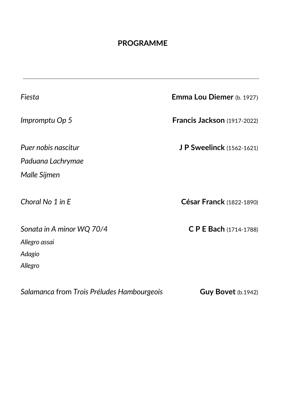#### **PROGRAMME**

*Fiesta* **Emma Lou Diemer** (b. 1927) *Impromptu Op 5* **Francis Jackson** (1917-2022) *Puer nobis nascitur* **J P Sweelinck** (1562-1621) *Paduana Lachrymae Malle Sijmen Choral No 1 in E* **César Franck** (1822-1890) *Sonata in A minor WQ 70/4* **C P E Bach** (1714-1788) *Allegro assai Adagio Allegro*

*Salamanca* from *Trois Préludes Hambourgeois* **Guy Bovet** (b.1942)